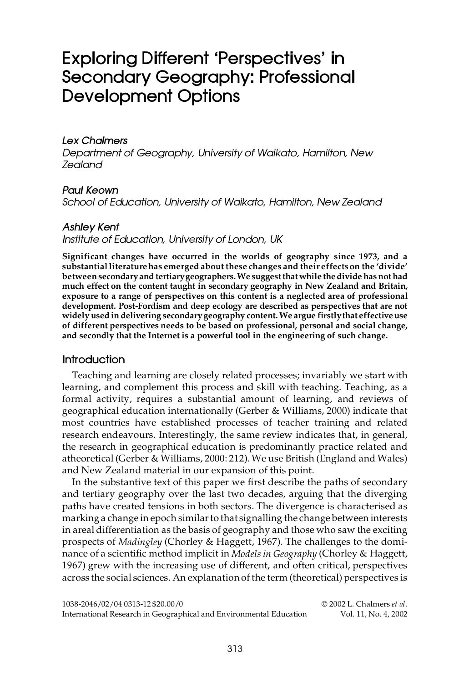# Exploring Different 'Perspectives' in Secondary Geography: Professional Development Options

## *Lex Chalmers*

*Department of Geography, University of Waikato, Hamilton, New Zealand*

## *Paul Keown*

*School of Education, University of Waikato, Hamilton, New Zealand*

#### *Ashley Kent*

*Institute of Education, University of London, UK*

**Significant changes have occurred in the worlds of geography since 1973, and a substantialliteraturehas emerged about these changes and their effectson the 'divide' betweensecondaryand tertiarygeographers.We suggestthat while thedivide hasnot had much effect on the content taught in secondary geography in New Zealand and Britain, exposure to a range of perspectives on this content is a neglected area of professional development. Post-Fordism and deep ecology are described as perspectives that are not widely usedin delivering secondarygeography content.We argue firstlythat effectiveuse of different perspectives needs to be based on professional, personal and social change, and secondly that the Internet is a powerful tool in the engineering of such change.**

## **Introduction**

Teaching and learning are closely related processes; invariably we start with learning, and complement this process and skill with teaching. Teaching, as a formal activity, requires a substantial amount of learning, and reviews of geographical education internationally (Gerber & Williams, 2000) indicate that most countries have established processes of teacher training and related research endeavours. Interestingly, the same review indicates that, in general, the research in geographical education is predominantly practice related and atheoretical (Gerber & Williams, 2000: 212). We use British (England and Wales) and New Zealand material in our expansion of this point.

In the substantive text of this paper we first describe the paths of secondary and tertiary geography over the last two decades, arguing that the diverging paths have created tensions in both sectors. The divergence is characterised as marking a change in epoch similarto that signalling the change between interests in areal differentiation as the basis of geography and those who saw the exciting prospects of *Madingley* (Chorley & Haggett, 1967). The challenges to the dominance of a scientific method implicit in *Models in Geography* (Chorley & Haggett, 1967) grew with the increasing use of different, and often critical, perspectives across the social sciences. An explanation of the term (theoretical) perspectives is

| 1038-2046/02/04 0313-12 \$20.00/0                                  | © 2002 L. Chalmers <i>et al</i> . |
|--------------------------------------------------------------------|-----------------------------------|
| International Research in Geographical and Environmental Education | Vol. 11, No. 4, 2002              |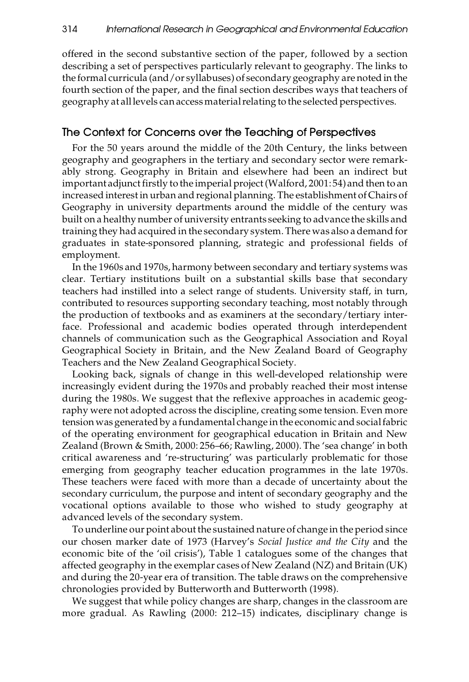offered in the second substantive section of the paper, followed by a section describing a set of perspectives particularly relevant to geography. The links to the formal curricula (and/or syllabuses) of secondary geography are noted in the fourth section of the paper, and the final section describes ways that teachers of geography at alllevels can accessmaterialrelating to the selected perspectives.

## The Context for Concerns over the Teaching of Perspectives

For the 50 years around the middle of the 20th Century, the links between geography and geographers in the tertiary and secondary sector were remarkably strong. Geography in Britain and elsewhere had been an indirect but important adjunct firstly to the imperial project (Walford,  $2001:54$ ) and then to an increased interestin urban and regional planning. The establishment of Chairs of Geography in university departments around the middle of the century was built on a healthy number of university entrants seeking to advance the skills and training they had acquired in the secondary system.There was also a demand for graduates in state-sponsored planning, strategic and professional fields of employment.

In the 1960s and 1970s, harmony between secondary and tertiary systems was clear. Tertiary institutions built on a substantial skills base that secondary teachers had instilled into a select range of students. University staff, in turn, contributed to resources supporting secondary teaching, most notably through the production of textbooks and as examiners at the secondary/tertiary interface. Professional and academic bodies operated through interdependent channels of communication such as the Geographical Association and Royal Geographical Society in Britain, and the New Zealand Board of Geography Teachers and the New Zealand Geographical Society.

Looking back, signals of change in this well-developed relationship were increasingly evident during the 1970s and probably reached their most intense during the 1980s. We suggest that the reflexive approaches in academic geography were not adopted across the discipline, creating some tension. Even more tension was generated by a fundamental change in the economic and socialfabric of the operating environment for geographical education in Britain and New Zealand (Brown & Smith, 2000: 256–66; Rawling, 2000). The 'sea change' in both critical awareness and 're-structuring' was particularly problematic for those emerging from geography teacher education programmes in the late 1970s. These teachers were faced with more than a decade of uncertainty about the secondary curriculum, the purpose and intent of secondary geography and the vocational options available to those who wished to study geography at advanced levels of the secondary system.

To underline our point about the sustained nature of change in the period since our chosen marker date of 1973 (Harvey's *Social Justice and the City* and the economic bite of the 'oil crisis'), Table 1 catalogues some of the changes that affected geography in the exemplar cases of New Zealand (NZ) and Britain (UK) and during the 20-year era of transition. The table draws on the comprehensive chronologies provided by Butterworth and Butterworth (1998).

We suggest that while policy changes are sharp, changes in the classroom are more gradual. As Rawling (2000: 212–15) indicates, disciplinary change is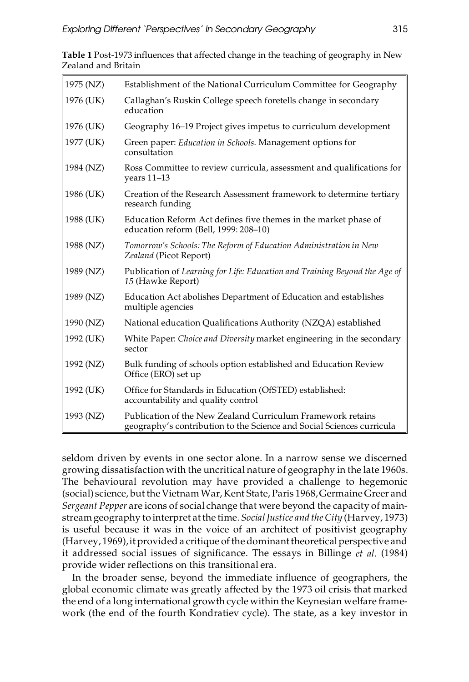| 1975 (NZ) | Establishment of the National Curriculum Committee for Geography                                                                     |
|-----------|--------------------------------------------------------------------------------------------------------------------------------------|
| 1976 (UK) | Callaghan's Ruskin College speech foretells change in secondary<br>education                                                         |
| 1976 (UK) | Geography 16-19 Project gives impetus to curriculum development                                                                      |
| 1977 (UK) | Green paper: Education in Schools. Management options for<br>consultation                                                            |
| 1984 (NZ) | Ross Committee to review curricula, assessment and qualifications for<br>years $11-13$                                               |
| 1986 (UK) | Creation of the Research Assessment framework to determine tertiary<br>research funding                                              |
| 1988 (UK) | Education Reform Act defines five themes in the market phase of<br>education reform (Bell, 1999: 208-10)                             |
| 1988 (NZ) | Tomorrow's Schools: The Reform of Education Administration in New<br>Zealand (Picot Report)                                          |
| 1989 (NZ) | Publication of Learning for Life: Education and Training Beyond the Age of<br>15 (Hawke Report)                                      |
| 1989 (NZ) | Education Act abolishes Department of Education and establishes<br>multiple agencies                                                 |
| 1990 (NZ) | National education Qualifications Authority (NZQA) established                                                                       |
| 1992 (UK) | White Paper: Choice and Diversity market engineering in the secondary<br>sector                                                      |
| 1992 (NZ) | Bulk funding of schools option established and Education Review<br>Office (ERO) set up                                               |
| 1992 (UK) | Office for Standards in Education (OfSTED) established:<br>accountability and quality control                                        |
| 1993 (NZ) | Publication of the New Zealand Curriculum Framework retains<br>geography's contribution to the Science and Social Sciences curricula |

**Table 1** Post-1973 influences that affected change in the teaching of geography in New Zealand and Britain

seldom driven by events in one sector alone. In a narrow sense we discerned growing dissatisfaction with the uncritical nature of geography in the late 1960s. The behavioural revolution may have provided a challenge to hegemonic (social) science, but the Vietnam War, Kent State, Paris 1968,Germaine Greer and *Sergeant Pepper* are icons of social change that were beyond the capacity of mainstreamgeography to interpret atthe time. *SocialJustice and the City* (Harvey, 1973) is useful because it was in the voice of an architect of positivist geography (Harvey, 1969),it provided a critique of thedominanttheoreticalperspective and it addressed social issues of significance. The essays in Billinge *et al.* (1984) provide wider reflections on this transitional era.

In the broader sense, beyond the immediate influence of geographers, the global economic climate was greatly affected by the 1973 oil crisis that marked the end of a long international growth cycle within the Keynesian welfare framework (the end of the fourth Kondratiev cycle). The state, as a key investor in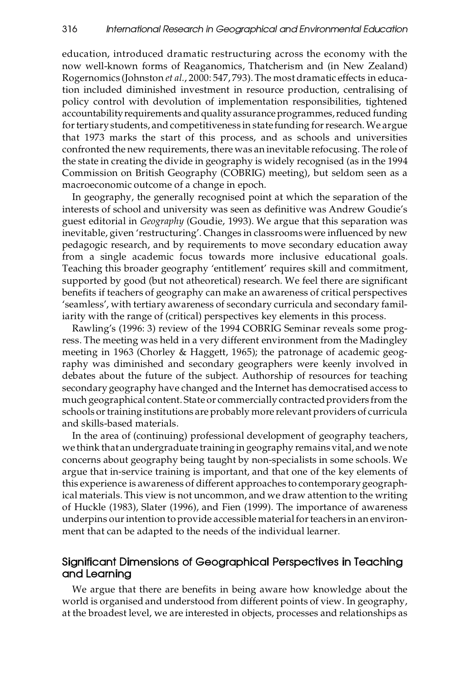education, introduced dramatic restructuring across the economy with the now well-known forms of Reaganomics, Thatcherism and (in New Zealand) Rogernomics (Johnston *et al.*, 2000: 547, 793). The most dramatic effects in education included diminished investment in resource production, centralising of policy control with devolution of implementation responsibilities, tightened accountability requirements and quality assurance programmes, reduced funding for tertiary students, and competitiveness in state funding for research. We argue that 1973 marks the start of this process, and as schools and universities confronted the new requirements, there was an inevitable refocusing. The role of the state in creating the divide in geography is widely recognised (as in the 1994 Commission on British Geography (COBRIG) meeting), but seldom seen as a macroeconomic outcome of a change in epoch.

In geography, the generally recognised point at which the separation of the interests of school and university was seen as definitive was Andrew Goudie's guest editorial in *Geography* (Goudie, 1993). We argue that this separation was inevitable, given 'restructuring'. Changes in classroomswere influenced by new pedagogic research, and by requirements to move secondary education away from a single academic focus towards more inclusive educational goals. Teaching this broader geography 'entitlement' requires skill and commitment, supported by good (but not atheoretical) research. We feel there are significant benefits if teachers of geography can make an awareness of critical perspectives 'seamless', with tertiary awareness of secondary curricula and secondary familiarity with the range of (critical) perspectives key elements in this process.

Rawling's (1996: 3) review of the 1994 COBRIG Seminar reveals some progress. The meeting was held in a very different environment from the Madingley meeting in 1963 (Chorley & Haggett, 1965); the patronage of academic geography was diminished and secondary geographers were keenly involved in debates about the future of the subject. Authorship of resources for teaching secondary geography have changed and the Internet has democratised access to much geographical content. State or commercially contracted providers from the schools ortraining institutions are probably more relevant providers of curricula and skills-based materials.

In the area of (continuing) professional development of geography teachers, we think thatan undergraduate trainingin geography remains vital,and we note concerns about geography being taught by non-specialists in some schools. We argue that in-service training is important, and that one of the key elements of this experience is awareness of different approaches to contemporary geographical materials. This view is not uncommon, and we draw attention to the writing of Huckle (1983), Slater (1996), and Fien (1999). The importance of awareness underpins our intention to provide accessible material for teachers in an environment that can be adapted to the needs of the individual learner.

## Significant Dimensions of Geographical Perspectives in Teaching and Learning

We argue that there are benefits in being aware how knowledge about the world is organised and understood from different points of view. In geography, at the broadest level, we are interested in objects, processes and relationships as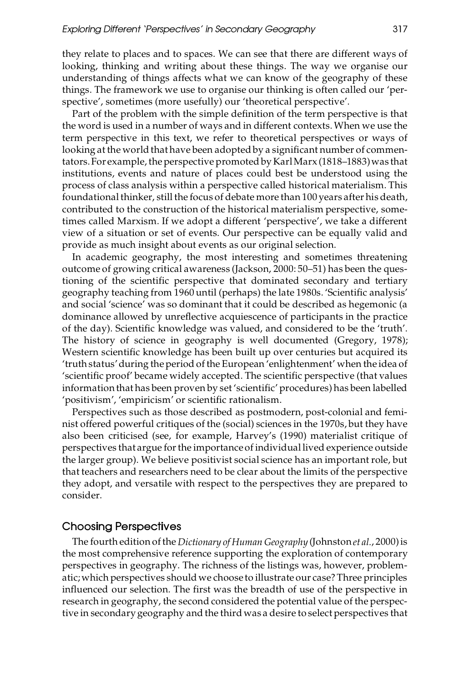they relate to places and to spaces. We can see that there are different ways of looking, thinking and writing about these things. The way we organise our understanding of things affects what we can know of the geography of these things. The framework we use to organise our thinking is often called our 'perspective', sometimes (more usefully) our 'theoretical perspective'.

Part of the problem with the simple definition of the term perspective is that the word is used in a number of ways and in different contexts.When we use the term perspective in this text, we refer to theoretical perspectives or ways of looking at the world that have been adopted by a significant number of commentators. For example, the perspective promoted by Karl Marx (1818–1883) was that institutions, events and nature of places could best be understood using the process of class analysis within a perspective called historical materialism. This foundational thinker, still the focus of debate more than 100 years after his death, contributed to the construction of the historical materialism perspective, sometimes called Marxism. If we adopt a different 'perspective', we take a different view of a situation or set of events. Our perspective can be equally valid and provide as much insight about events as our original selection.

In academic geography, the most interesting and sometimes threatening outcome of growing critical awareness (Jackson, 2000: 50–51) has been the questioning of the scientific perspective that dominated secondary and tertiary geography teaching from 1960 until (perhaps) the late 1980s. 'Scientific analysis' and social 'science' was so dominant that it could be described as hegemonic (a dominance allowed by unreflective acquiescence of participants in the practice of the day). Scientific knowledge was valued, and considered to be the 'truth'. The history of science in geography is well documented (Gregory, 1978); Western scientific knowledge has been built up over centuries but acquired its 'truth status'during theperiod of the European 'enlightenment' when the idea of 'scientific proof' became widely accepted. The scientific perspective (that values information that has been proven by set 'scientific' procedures) has been labelled 'positivism', 'empiricism' or scientific rationalism.

Perspectives such as those described as postmodern, post-colonial and feminist offered powerful critiques of the (social) sciences in the 1970s, but they have also been criticised (see, for example, Harvey's (1990) materialist critique of perspectives that argue forthe importanceof individual lived experience outside the larger group). We believe positivist social science has an important role, but that teachers and researchers need to be clear about the limits of the perspective they adopt, and versatile with respect to the perspectives they are prepared to consider.

#### Choosing Perspectives

The fourth edition ofthe *Dictionary of Human Geography* (Johnston*et al.*, 2000)is the most comprehensive reference supporting the exploration of contemporary perspectives in geography. The richness of the listings was, however, problematic; which perspectives should we choose to illustrate our case?Three principles influenced our selection. The first was the breadth of use of the perspective in research in geography, the second considered the potential value of the perspective in secondary geography and the third was a desire to select perspectives that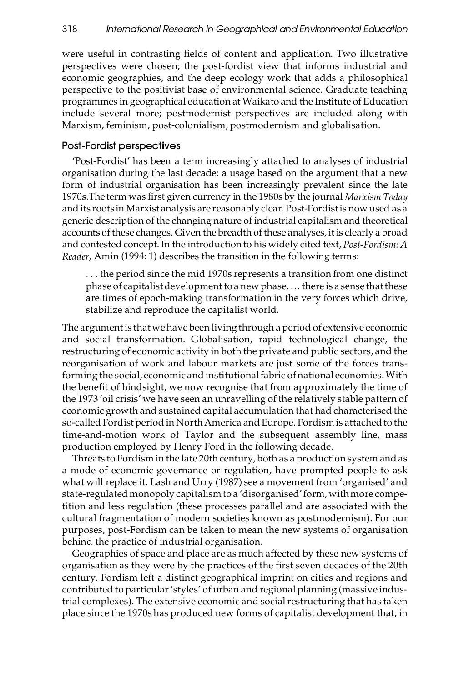were useful in contrasting fields of content and application. Two illustrative perspectives were chosen; the post-fordist view that informs industrial and economic geographies, and the deep ecology work that adds a philosophical perspective to the positivist base of environmental science. Graduate teaching programmes in geographical education at Waikato and the Institute of Education include several more; postmodernist perspectives are included along with Marxism, feminism, post-colonialism, postmodernism and globalisation.

#### Post-Fordist perspectives

'Post-Fordist' has been a term increasingly attached to analyses of industrial organisation during the last decade; a usage based on the argument that a new form of industrial organisation has been increasingly prevalent since the late 1970s.The term was first given currency in the 1980s by the journal *Marxism Today* and its roots in Marxist analysis are reasonably clear. Post-Fordistis now used as a generic description of the changing nature of industrial capitalism and theoretical accounts of these changes. Given the breadth of these analyses, it is clearly a broad and contested concept. In the introduction to his widely cited text, *Post-Fordism: A Reader*, Amin (1994: 1) describes the transition in the following terms:

. . . the period since the mid 1970s represents a transition from one distinct phase of capitalistdevelopment to a new phase.… there is a sense thatthese are times of epoch-making transformation in the very forces which drive, stabilize and reproduce the capitalist world.

The argument is that we have been living through a period of extensive economic and social transformation. Globalisation, rapid technological change, the restructuring of economic activity in both the private and public sectors, and the reorganisation of work and labour markets are just some of the forces transforming the social, economic and institutionalfabric of national economies.With the benefit of hindsight, we now recognise that from approximately the time of the 1973 'oil crisis' we have seen an unravelling of the relatively stable pattern of economic growth and sustained capital accumulation that had characterised the so-called Fordist period in North America and Europe. Fordism is attached to the time-and-motion work of Taylor and the subsequent assembly line, mass production employed by Henry Ford in the following decade.

Threats to Fordism in the late 20th century, both as a production system and as a mode of economic governance or regulation, have prompted people to ask what will replace it. Lash and Urry (1987) see a movement from 'organised' and state-regulated monopoly capitalismto a 'disorganised'form, withmore competition and less regulation (these processes parallel and are associated with the cultural fragmentation of modern societies known as postmodernism). For our purposes, post-Fordism can be taken to mean the new systems of organisation behind the practice of industrial organisation.

Geographies of space and place are as much affected by these new systems of organisation as they were by the practices of the first seven decades of the 20th century. Fordism left a distinct geographical imprint on cities and regions and contributed to particular'styles' of urban and regional planning (massive industrial complexes). The extensive economic and social restructuring that has taken place since the 1970s has produced new forms of capitalist development that, in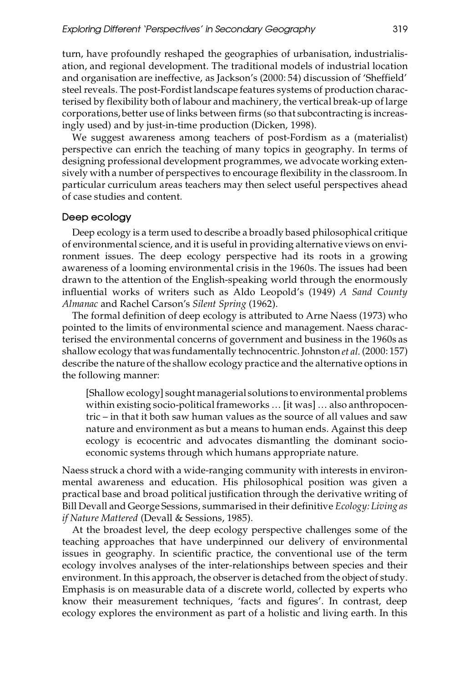turn, have profoundly reshaped the geographies of urbanisation, industrialisation, and regional development. The traditional models of industrial location and organisation are ineffective, as Jackson's (2000: 54) discussion of 'Sheffield' steel reveals. The post-Fordist landscape features systems of production characterised by flexibility both of labour and machinery, the vertical break-up of large corporations,better use of links between firms (so that subcontracting is increasingly used) and by just-in-time production (Dicken, 1998).

We suggest awareness among teachers of post-Fordism as a (materialist) perspective can enrich the teaching of many topics in geography. In terms of designing professional development programmes, we advocate working extensively with a number of perspectives to encourage flexibility in the classroom.In particular curriculum areas teachers may then select useful perspectives ahead of case studies and content.

#### Deep ecology

Deep ecology is a term used to describe a broadly based philosophical critique of environmental science, and it is useful in providing alternative views on environment issues. The deep ecology perspective had its roots in a growing awareness of a looming environmental crisis in the 1960s. The issues had been drawn to the attention of the English-speaking world through the enormously influential works of writers such as Aldo Leopold's (1949) *A Sand County Almanac* and Rachel Carson's *Silent Spring* (1962).

The formal definition of deep ecology is attributed to Arne Naess (1973) who pointed to the limits of environmental science and management. Naess characterised the environmental concerns of government and business in the 1960s as shallow ecology that was fundamentally technocentric. Johnston *et al.* (2000: 157) describe the nature of the shallow ecology practice and the alternative options in the following manner:

[Shallow ecology] sought managerial solutions to environmental problems within existing socio-political frameworks … [it was] … also anthropocentric – in that it both saw human values as the source of all values and saw nature and environment as but a means to human ends. Against this deep ecology is ecocentric and advocates dismantling the dominant socioeconomic systems through which humans appropriate nature.

Naess struck a chord with a wide-ranging community with interests in environmental awareness and education. His philosophical position was given a practical base and broad political justification through the derivative writing of Bill Devall and George Sessions, summarised in their definitive *Ecology: Living as if Nature Mattered* (Devall & Sessions, 1985).

At the broadest level, the deep ecology perspective challenges some of the teaching approaches that have underpinned our delivery of environmental issues in geography. In scientific practice, the conventional use of the term ecology involves analyses of the inter-relationships between species and their environment. In this approach, the observer is detached from the object of study. Emphasis is on measurable data of a discrete world, collected by experts who know their measurement techniques, 'facts and figures'. In contrast, deep ecology explores the environment as part of a holistic and living earth. In this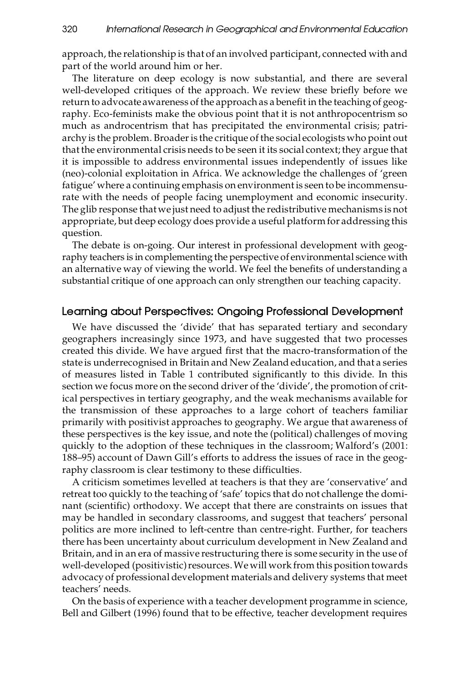approach, the relationship is that of an involved participant, connected with and part of the world around him or her.

The literature on deep ecology is now substantial, and there are several well-developed critiques of the approach. We review these briefly before we return to advocate awareness of the approach as a benefit in the teaching of geography. Eco-feminists make the obvious point that it is not anthropocentrism so much as androcentrism that has precipitated the environmental crisis; patriarchy is the problem. Broader is the critique of the social ecologists who point out that the environmental crisis needs to be seen it its social context; they argue that it is impossible to address environmental issues independently of issues like (neo)-colonial exploitation in Africa. We acknowledge the challenges of 'green fatigue' where a continuing emphasis on environment is seen to be incommensurate with the needs of people facing unemployment and economic insecurity. The glib response that we just need to adjust the redistributive mechanisms is not appropriate, but deep ecology does provide a useful platform for addressing this question.

The debate is on-going. Our interest in professional development with geography teachers is in complementing the perspective of environmental science with an alternative way of viewing the world. We feel the benefits of understanding a substantial critique of one approach can only strengthen our teaching capacity.

#### Learning about Perspectives: Ongoing Professional Development

We have discussed the 'divide' that has separated tertiary and secondary geographers increasingly since 1973, and have suggested that two processes created this divide. We have argued first that the macro-transformation of the state is underrecognised in Britain and New Zealand education, and that a series of measures listed in Table 1 contributed significantly to this divide. In this section we focus more on the second driver of the 'divide', the promotion of critical perspectives in tertiary geography, and the weak mechanisms available for the transmission of these approaches to a large cohort of teachers familiar primarily with positivist approaches to geography. We argue that awareness of these perspectives is the key issue, and note the (political) challenges of moving quickly to the adoption of these techniques in the classroom; Walford's (2001: 188–95) account of Dawn Gill's efforts to address the issues of race in the geography classroom is clear testimony to these difficulties.

A criticism sometimes levelled at teachers is that they are 'conservative' and retreat too quickly to the teaching of 'safe' topics that do not challenge the dominant (scientific) orthodoxy. We accept that there are constraints on issues that may be handled in secondary classrooms, and suggest that teachers' personal politics are more inclined to left-centre than centre-right. Further, for teachers there has been uncertainty about curriculum development in New Zealand and Britain, and in an era of massive restructuring there is some security in the use of well-developed (positivistic) resources. We will work from this position towards advocacy of professional development materials and delivery systems that meet teachers' needs.

On the basis of experience with a teacher development programme in science, Bell and Gilbert (1996) found that to be effective, teacher development requires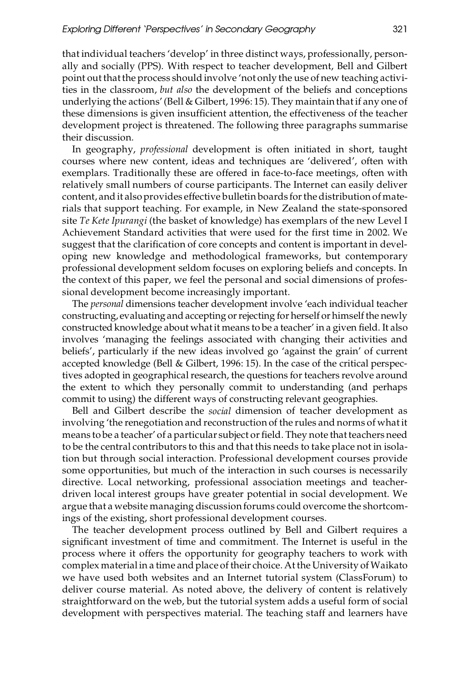that individual teachers 'develop' in three distinct ways, professionally, personally and socially (PPS). With respect to teacher development, Bell and Gilbert point outthatthe process should involve 'not only the use of new teaching activities in the classroom, *but also* the development of the beliefs and conceptions underlying the actions' (Bell & Gilbert, 1996: 15). They maintain that if any one of these dimensions is given insufficient attention, the effectiveness of the teacher development project is threatened. The following three paragraphs summarise their discussion.

In geography, *professional* development is often initiated in short, taught courses where new content, ideas and techniques are 'delivered', often with exemplars. Traditionally these are offered in face-to-face meetings, often with relatively small numbers of course participants. The Internet can easily deliver content, and it alsoprovides effective bulletin boards forthedistribution ofmaterials that support teaching. For example, in New Zealand the state-sponsored site *Te Kete Ipurangi* (the basket of knowledge) has exemplars of the new Level I Achievement Standard activities that were used for the first time in 2002. We suggest that the clarification of core concepts and content is important in developing new knowledge and methodological frameworks, but contemporary professional development seldom focuses on exploring beliefs and concepts. In the context of this paper, we feel the personal and social dimensions of professional development become increasingly important.

The *personal* dimensions teacher development involve 'each individual teacher constructing, evaluating and accepting or rejecting for herself or himself the newly constructed knowledge about whatit means to be a teacher' in a given field. It also involves 'managing the feelings associated with changing their activities and beliefs', particularly if the new ideas involved go 'against the grain' of current accepted knowledge (Bell & Gilbert, 1996: 15). In the case of the critical perspectives adopted in geographical research, the questions for teachers revolve around the extent to which they personally commit to understanding (and perhaps commit to using) the different ways of constructing relevant geographies.

Bell and Gilbert describe the *social* dimension of teacher development as involving 'the renegotiation and reconstruction of the rules and norms of what it means to be a teacher' of a particular subject or field. They note that teachers need to be the central contributors to this and that this needs to take place not in isolation but through social interaction. Professional development courses provide some opportunities, but much of the interaction in such courses is necessarily directive. Local networking, professional association meetings and teacherdriven local interest groups have greater potential in social development. We argue that a website managing discussionforums could overcome the shortcomings of the existing, short professional development courses.

The teacher development process outlined by Bell and Gilbert requires a significant investment of time and commitment. The Internet is useful in the process where it offers the opportunity for geography teachers to work with complex materialin a time and place of their choice. At the University of Waikato we have used both websites and an Internet tutorial system (ClassForum) to deliver course material. As noted above, the delivery of content is relatively straightforward on the web, but the tutorial system adds a useful form of social development with perspectives material. The teaching staff and learners have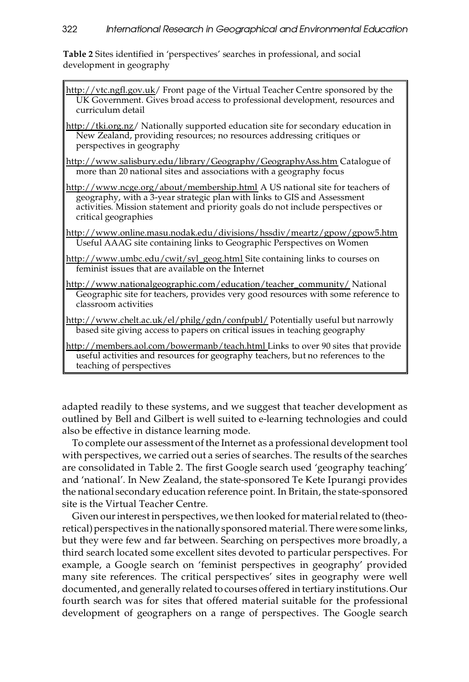**Table 2** Sites identified in 'perspectives' searches in professional, and social development in geography

| http://vtc.ngfl.gov.uk/ Front page of the Virtual Teacher Centre sponsored by the<br>UK Government. Gives broad access to professional development, resources and<br>curriculum detail                                                                              |  |
|---------------------------------------------------------------------------------------------------------------------------------------------------------------------------------------------------------------------------------------------------------------------|--|
| http://tki.org.nz/ Nationally supported education site for secondary education in<br>New Zealand, providing resources; no resources addressing critiques or<br>perspectives in geography                                                                            |  |
| http://www.salisbury.edu/library/Geography/GeographyAss.htm Catalogue of<br>more than 20 national sites and associations with a geography focus                                                                                                                     |  |
| http://www.ncge.org/about/membership.html A US national site for teachers of<br>geography, with a 3-year strategic plan with links to GIS and Assessment<br>activities. Mission statement and priority goals do not include perspectives or<br>critical geographies |  |
| http://www.online.masu.nodak.edu/divisions/hssdiv/meartz/gpow/gpow5.htm<br>Useful AAAG site containing links to Geographic Perspectives on Women                                                                                                                    |  |
| http://www.umbc.edu/cwit/syl_geog.html Site containing links to courses on<br>feminist issues that are available on the Internet                                                                                                                                    |  |
| http://www.nationalgeographic.com/education/teacher_community/National<br>Geographic site for teachers, provides very good resources with some reference to<br>classroom activities                                                                                 |  |
| http://www.chelt.ac.uk/el/philg/gdn/confpubl/ Potentially useful but narrowly<br>based site giving access to papers on critical issues in teaching geography                                                                                                        |  |
| http://members.aol.com/bowermanb/teach.html Links to over 90 sites that provide<br>useful activities and resources for geography teachers, but no references to the<br>teaching of perspectives                                                                     |  |

adapted readily to these systems, and we suggest that teacher development as outlined by Bell and Gilbert is well suited to e-learning technologies and could also be effective in distance learning mode.

To complete our assessment of the Internet as a professional development tool with perspectives, we carried out a series of searches. The results of the searches are consolidated in Table 2. The first Google search used 'geography teaching' and 'national'. In New Zealand, the state-sponsored Te Kete Ipurangi provides the national secondary education reference point. In Britain, the state-sponsored site is the Virtual Teacher Centre.

Given our interest in perspectives, we then looked for material related to (theoretical) perspectives in the nationally sponsored material. There were some links, but they were few and far between. Searching on perspectives more broadly, a third search located some excellent sites devoted to particular perspectives. For example, a Google search on 'feminist perspectives in geography' provided many site references. The critical perspectives' sites in geography were well documented, and generally related to courses offered in tertiary institutions.Our fourth search was for sites that offered material suitable for the professional development of geographers on a range of perspectives. The Google search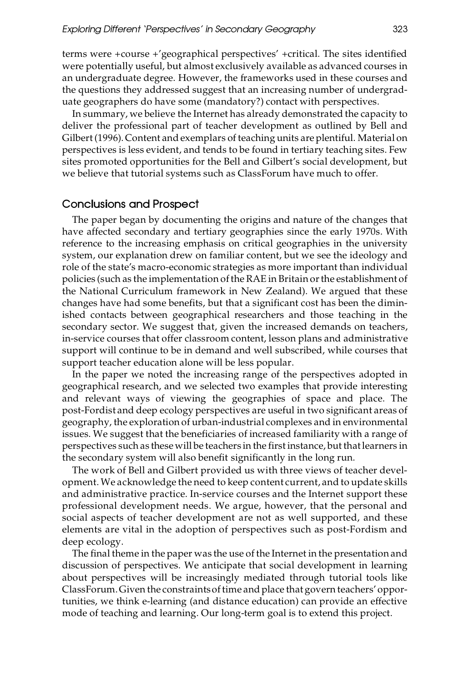terms were +course +'geographical perspectives' +critical. The sites identified were potentially useful, but almost exclusively available as advanced courses in an undergraduate degree. However, the frameworks used in these courses and the questions they addressed suggest that an increasing number of undergraduate geographers do have some (mandatory?) contact with perspectives.

In summary, we believe the Internet has already demonstrated the capacity to deliver the professional part of teacher development as outlined by Bell and Gilbert (1996). Content and exemplars of teaching units are plentiful. Material on perspectives is less evident, and tends to be found in tertiary teaching sites. Few sites promoted opportunities for the Bell and Gilbert's social development, but we believe that tutorial systems such as ClassForum have much to offer.

#### Conclusions and Prospect

The paper began by documenting the origins and nature of the changes that have affected secondary and tertiary geographies since the early 1970s. With reference to the increasing emphasis on critical geographies in the university system, our explanation drew on familiar content, but we see the ideology and role of the state's macro-economic strategies as more important than individual policies (such as the implementation of the RAE in Britain or the establishment of the National Curriculum framework in New Zealand). We argued that these changes have had some benefits, but that a significant cost has been the diminished contacts between geographical researchers and those teaching in the secondary sector. We suggest that, given the increased demands on teachers, in-service courses that offer classroom content, lesson plans and administrative support will continue to be in demand and well subscribed, while courses that support teacher education alone will be less popular.

In the paper we noted the increasing range of the perspectives adopted in geographical research, and we selected two examples that provide interesting and relevant ways of viewing the geographies of space and place. The post-Fordist and deep ecology perspectives are useful in two significant areas of geography, the exploration of urban-industrial complexes and in environmental issues. We suggest that the beneficiaries of increased familiarity with a range of perspectives such as these will be teachers in the firstinstance, but thatlearners in the secondary system will also benefit significantly in the long run.

The work of Bell and Gilbert provided us with three views of teacher development.We acknowledge the need to keep content current, and to update skills and administrative practice. In-service courses and the Internet support these professional development needs. We argue, however, that the personal and social aspects of teacher development are not as well supported, and these elements are vital in the adoption of perspectives such as post-Fordism and deep ecology.

The final theme in the paper was the use of the Internet in the presentation and discussion of perspectives. We anticipate that social development in learning about perspectives will be increasingly mediated through tutorial tools like ClassForum.Given the constraintsoftime and place that govern teachers' opportunities, we think e-learning (and distance education) can provide an effective mode of teaching and learning. Our long-term goal is to extend this project.